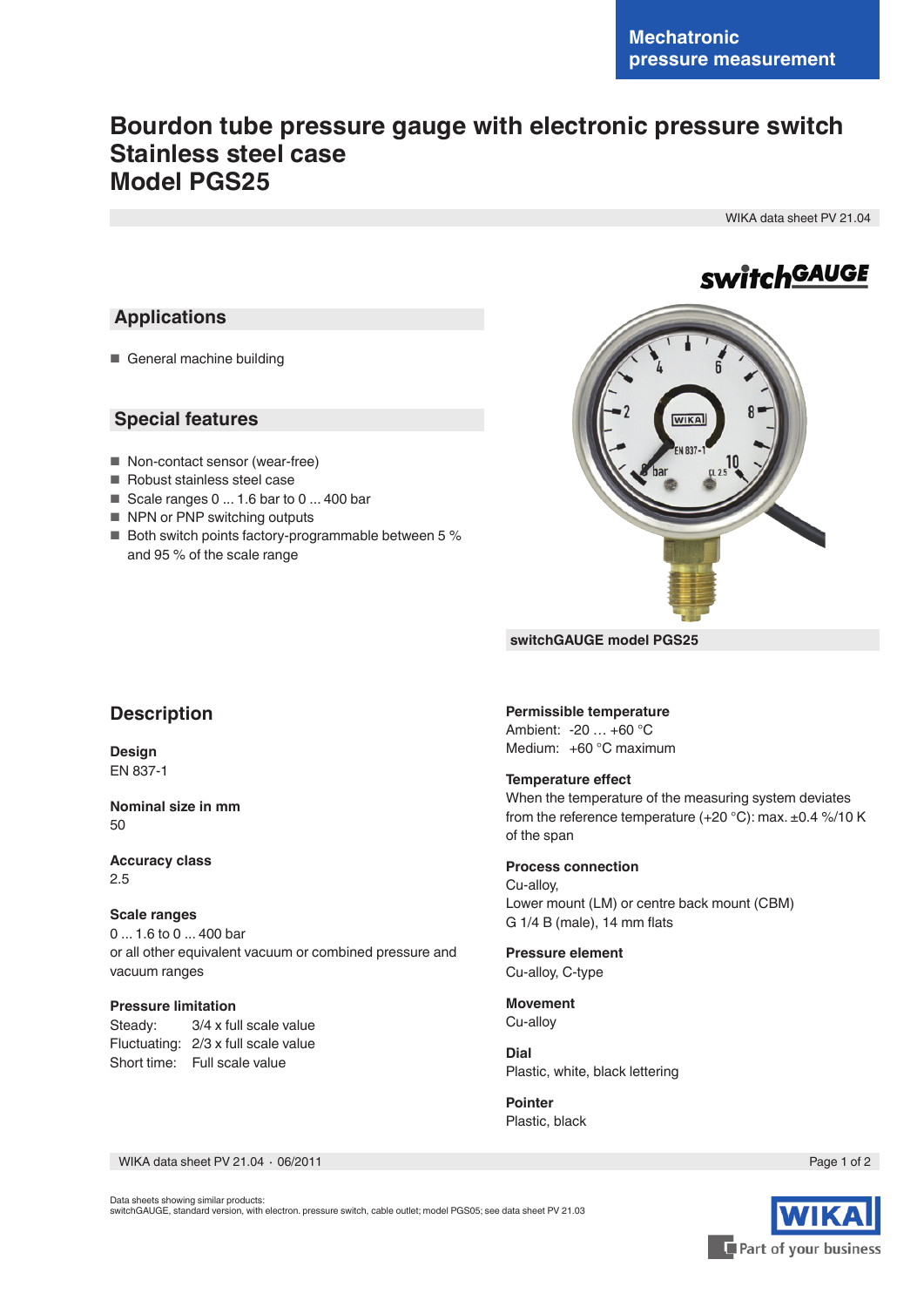# **Bourdon tube pressure gauge with electronic pressure switch Stainless steel case Model PGS25**

WIKA data sheet PV 21.04

# **switchGAUGE**

### **Applications**

■ General machine building

### **Special features**

- Non-contact sensor (wear-free)
- Robust stainless steel case
- Scale ranges 0 ... 1.6 bar to 0 ... 400 bar
- NPN or PNP switching outputs
- Both switch points factory-programmable between 5 % and 95 % of the scale range



**switchGAUGE model PGS25**

### **Description**

**Design** EN 837-1

#### **Nominal size in mm** 50

**Accuracy class** 2.5

#### **Scale ranges**

0 ... 1.6 to 0 ... 400 bar or all other equivalent vacuum or combined pressure and vacuum ranges

#### **Pressure limitation**

Steady: 3/4 x full scale value Fluctuating: 2/3 x full scale value Short time: Full scale value

### **Permissible temperature**

Ambient: -20 … +60 °C Medium: +60 °C maximum

#### **Temperature effect**

When the temperature of the measuring system deviates from the reference temperature (+20 °C): max. ±0.4 %/10 K of the span

#### **Process connection** Cu-alloy, Lower mount (LM) or centre back mount (CBM)

G 1/4 B (male), 14 mm flats

#### **Pressure element** Cu-alloy, C-type

**Movement** Cu-alloy

**Dial** Plastic, white, black lettering

**Pointer** Plastic, black

WIKA data sheet PV 21.04 ∙ 06/2011

Page 1 of 2



Data sheets showing similar products: switchGAUGE, standard version, with electron. pressure switch, cable outlet; model PGS05; see data sheet PV 21.03